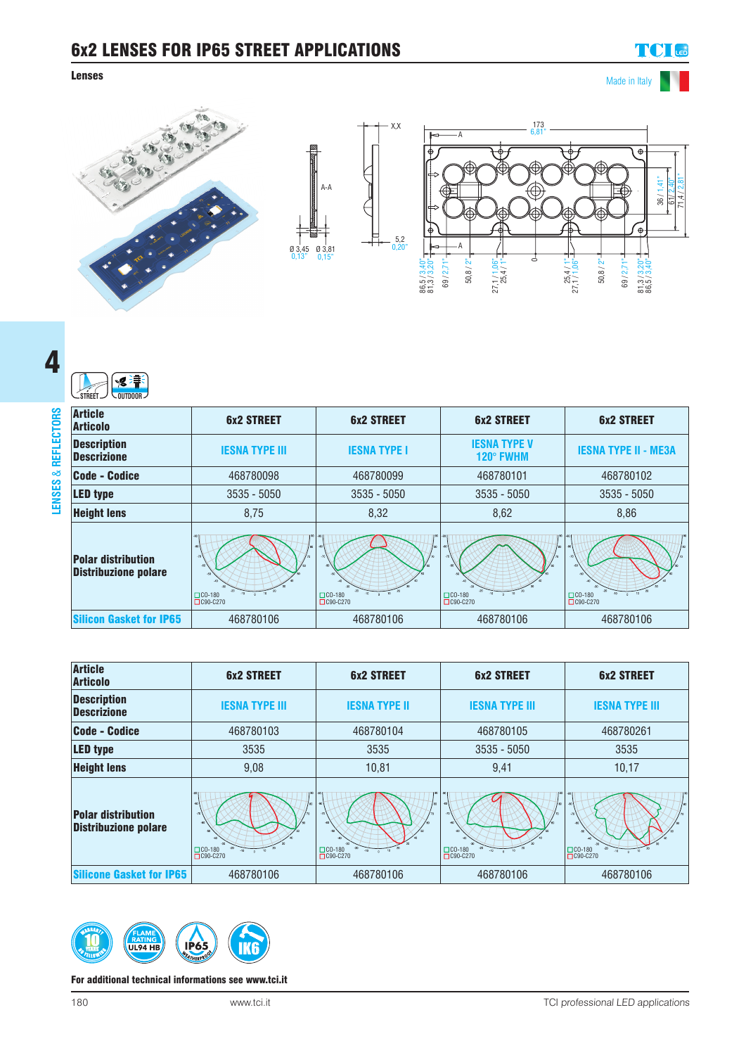## 6x2 LENSES FOR IP65 STREET APPLICATIONS

### **Lenses** Made in Italy

# **TCI** LED







| SEE<br><b>STREET</b><br>$\sim$ Outdoor $\sim$            |                                                           |                            |                                  |                                               |
|----------------------------------------------------------|-----------------------------------------------------------|----------------------------|----------------------------------|-----------------------------------------------|
| <b>Article</b><br><b>Articolo</b>                        | <b>6x2 STREET</b>                                         | <b>6x2 STREET</b>          | <b>6x2 STREET</b>                | <b>6x2 STREET</b>                             |
| <b>Description</b><br><b>Descrizione</b>                 | <b>IESNA TYPE III</b>                                     | <b>IESNA TYPE I</b>        | <b>IESNA TYPE V</b><br>120° FWHM | <b>IESNA TYPE II - ME3A</b>                   |
| Code - Codice                                            | 468780098                                                 | 468780099                  | 468780101                        | 468780102                                     |
| <b>LED type</b>                                          | $3535 - 5050$                                             | $3535 - 5050$              | $3535 - 5050$                    | $3535 - 5050$                                 |
| <b>Height lens</b>                                       | 8,75                                                      | 8,32                       | 8,62                             | 8,86                                          |
| <b>Polar distribution</b><br><b>Distribuzione polare</b> | 10 <sub>1</sub><br>$\Box$ CO-180<br>$\Omega$<br>□C90-C270 | $\Box$ CO-180<br>□C90-C270 | $\Box$ CO-180<br>□C90-C270       | $10^{-1}$<br>$\Box$ CO-180<br>$\Box$ C90-C270 |
| <b>Silicon Gasket for IP65</b>                           | 468780106                                                 | 468780106                  | 468780106                        | 468780106                                     |

| <b>Article</b><br><b>Articolo</b>                        | <b>6x2 STREET</b>                   | <b>6x2 STREET</b>                   | <b>6x2 STREET</b>                   | <b>6x2 STREET</b>          |
|----------------------------------------------------------|-------------------------------------|-------------------------------------|-------------------------------------|----------------------------|
| <b>Description</b><br><b>Descrizione</b>                 | <b>IESNA TYPE III</b>               | <b>IESNA TYPE II</b>                | <b>IESNA TYPE III</b>               | <b>IESNA TYPE III</b>      |
| Code - Codice                                            | 468780103                           | 468780104                           | 468780105                           | 468780261                  |
| <b>LED type</b>                                          | 3535                                | 3535                                | 3535 - 5050                         | 3535                       |
| <b>Height lens</b>                                       | 9,08                                | 10,81                               | 9,41                                | 10,17                      |
| <b>Polar distribution</b><br><b>Distribuzione polare</b> | $\Box$ CO-180<br>$-10$<br>□C90-C270 | $\Box$ CO-180<br>$-10$<br>□C90-C270 | $\Box$ CO-180<br>$-10$<br>□C90-C270 | $\Box$ CO-180<br>□C90-C270 |
| <b>Silicone Gasket for IP65</b>                          | 468780106                           | 468780106                           | 468780106                           | 468780106                  |



#### For additional technical informations see www.tci.it